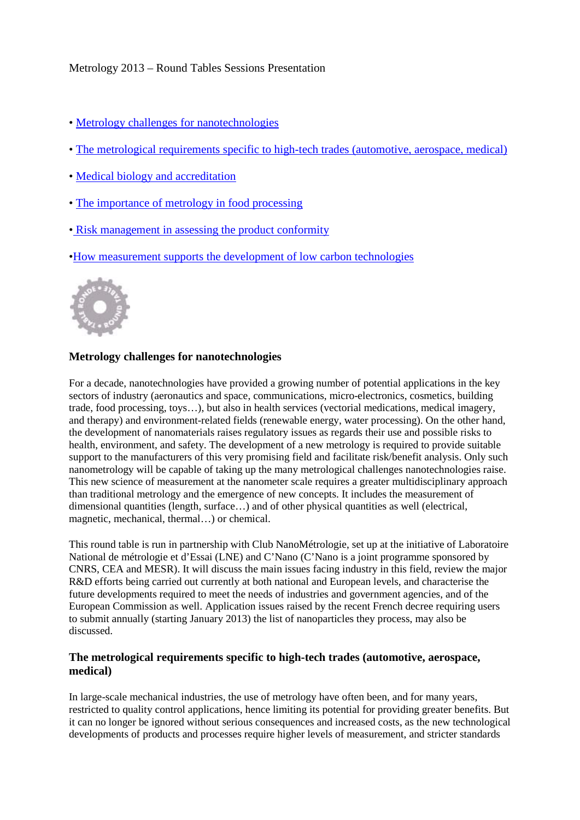# Metrology 2013 – Round Tables Sessions Presentation

- • [Metrology challenges for nanotechnologies](http://www.metrologie2013.com/conf_en.php?page=tables#nano)
- • [The metrological requirements specific to high-tech trades \(automotive, aerospace, medical\)](http://www.metrologie2013.com/conf_en.php?page=tables#metrological)
- • [Medical biology and accreditation](http://www.metrologie2013.com/conf_en.php?page=tables#medical-biology)
- • [The importance of metrology in food processing](http://www.metrologie2013.com/conf_en.php?page=tables#food)
- [Risk management in assessing the product conformity](http://www.metrologie2013.com/conf_en.php?page=tables#risk)
- [•How measurement supports the development of low carbon technologies](http://www.metrologie2013.com/conf_en.php?page=tables#measurement-supports)



# **Metrology challenges for nanotechnologies**

For a decade, nanotechnologies have provided a growing number of potential applications in the key sectors of industry (aeronautics and space, communications, micro-electronics, cosmetics, building trade, food processing, toys…), but also in health services (vectorial medications, medical imagery, and therapy) and environment-related fields (renewable energy, water processing). On the other hand, the development of nanomaterials raises regulatory issues as regards their use and possible risks to health, environment, and safety. The development of a new metrology is required to provide suitable support to the manufacturers of this very promising field and facilitate risk/benefit analysis. Only such nanometrology will be capable of taking up the many metrological challenges nanotechnologies raise. This new science of measurement at the nanometer scale requires a greater multidisciplinary approach than traditional metrology and the emergence of new concepts. It includes the measurement of dimensional quantities (length, surface…) and of other physical quantities as well (electrical, magnetic, mechanical, thermal…) or chemical.

This round table is run in partnership with Club NanoMétrologie, set up at the initiative of Laboratoire National de métrologie et d'Essai (LNE) and C'Nano (C'Nano is a joint programme sponsored by CNRS, CEA and MESR). It will discuss the main issues facing industry in this field, review the major R&D efforts being carried out currently at both national and European levels, and characterise the future developments required to meet the needs of industries and government agencies, and of the European Commission as well. Application issues raised by the recent French decree requiring users to submit annually (starting January 2013) the list of nanoparticles they process, may also be discussed.

## **The metrological requirements specific to high-tech trades (automotive, aerospace, medical)**

In large-scale mechanical industries, the use of metrology have often been, and for many years, restricted to quality control applications, hence limiting its potential for providing greater benefits. But it can no longer be ignored without serious consequences and increased costs, as the new technological developments of products and processes require higher levels of measurement, and stricter standards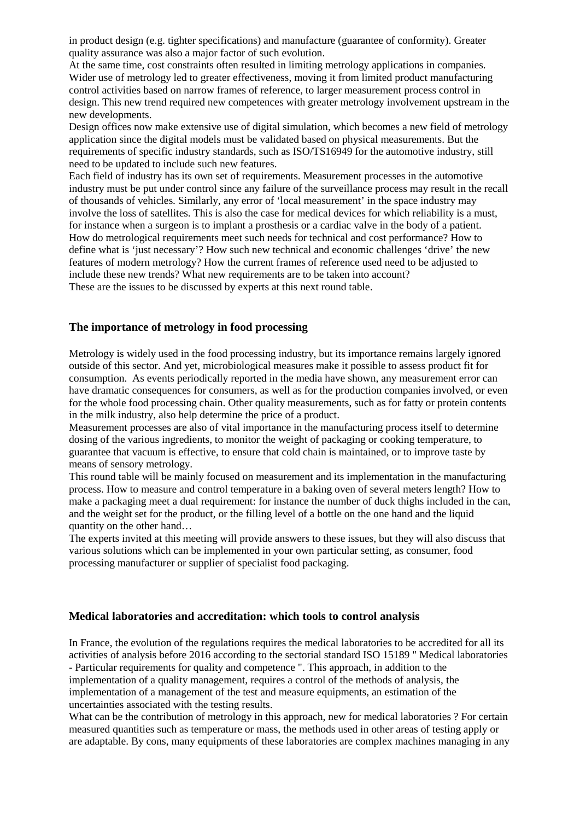in product design (e.g. tighter specifications) and manufacture (guarantee of conformity). Greater quality assurance was also a major factor of such evolution.

At the same time, cost constraints often resulted in limiting metrology applications in companies. Wider use of metrology led to greater effectiveness, moving it from limited product manufacturing control activities based on narrow frames of reference, to larger measurement process control in design. This new trend required new competences with greater metrology involvement upstream in the new developments.

Design offices now make extensive use of digital simulation, which becomes a new field of metrology application since the digital models must be validated based on physical measurements. But the requirements of specific industry standards, such as ISO/TS16949 for the automotive industry, still need to be updated to include such new features.

Each field of industry has its own set of requirements. Measurement processes in the automotive industry must be put under control since any failure of the surveillance process may result in the recall of thousands of vehicles. Similarly, any error of 'local measurement' in the space industry may involve the loss of satellites. This is also the case for medical devices for which reliability is a must, for instance when a surgeon is to implant a prosthesis or a cardiac valve in the body of a patient. How do metrological requirements meet such needs for technical and cost performance? How to define what is 'just necessary'? How such new technical and economic challenges 'drive' the new features of modern metrology? How the current frames of reference used need to be adjusted to include these new trends? What new requirements are to be taken into account? These are the issues to be discussed by experts at this next round table.

## **The importance of metrology in food processing**

Metrology is widely used in the food processing industry, but its importance remains largely ignored outside of this sector. And yet, microbiological measures make it possible to assess product fit for consumption. As events periodically reported in the media have shown, any measurement error can have dramatic consequences for consumers, as well as for the production companies involved, or even for the whole food processing chain. Other quality measurements, such as for fatty or protein contents in the milk industry, also help determine the price of a product.

Measurement processes are also of vital importance in the manufacturing process itself to determine dosing of the various ingredients, to monitor the weight of packaging or cooking temperature, to guarantee that vacuum is effective, to ensure that cold chain is maintained, or to improve taste by means of sensory metrology.

This round table will be mainly focused on measurement and its implementation in the manufacturing process. How to measure and control temperature in a baking oven of several meters length? How to make a packaging meet a dual requirement: for instance the number of duck thighs included in the can, and the weight set for the product, or the filling level of a bottle on the one hand and the liquid quantity on the other hand…

The experts invited at this meeting will provide answers to these issues, but they will also discuss that various solutions which can be implemented in your own particular setting, as consumer, food processing manufacturer or supplier of specialist food packaging.

### **Medical laboratories and accreditation: which tools to control analysis**

In France, the evolution of the regulations requires the medical laboratories to be accredited for all its activities of analysis before 2016 according to the sectorial standard ISO 15189 " Medical laboratories - Particular requirements for quality and competence ". This approach, in addition to the implementation of a quality management, requires a control of the methods of analysis, the implementation of a management of the test and measure equipments, an estimation of the uncertainties associated with the testing results.

What can be the contribution of metrology in this approach, new for medical laboratories ? For certain measured quantities such as temperature or mass, the methods used in other areas of testing apply or are adaptable. By cons, many equipments of these laboratories are complex machines managing in any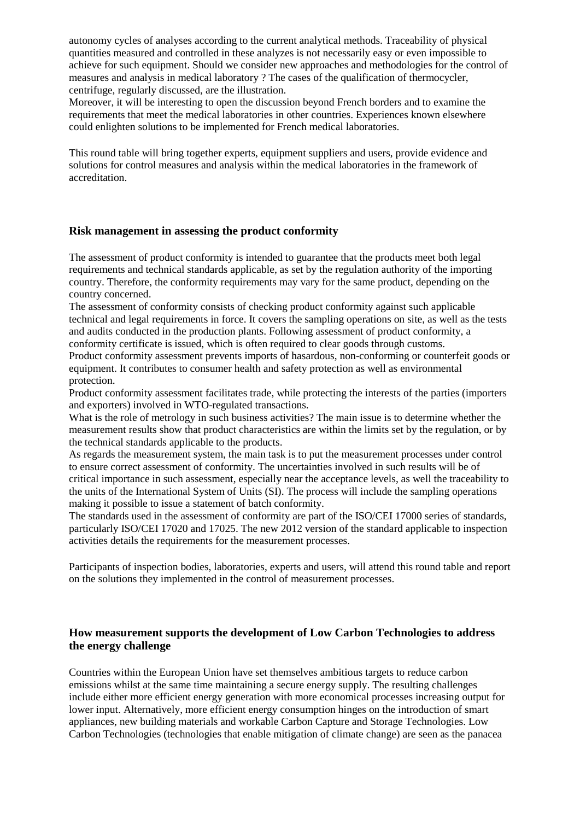autonomy cycles of analyses according to the current analytical methods. Traceability of physical quantities measured and controlled in these analyzes is not necessarily easy or even impossible to achieve for such equipment. Should we consider new approaches and methodologies for the control of measures and analysis in medical laboratory ? The cases of the qualification of thermocycler, centrifuge, regularly discussed, are the illustration.

Moreover, it will be interesting to open the discussion beyond French borders and to examine the requirements that meet the medical laboratories in other countries. Experiences known elsewhere could enlighten solutions to be implemented for French medical laboratories.

This round table will bring together experts, equipment suppliers and users, provide evidence and solutions for control measures and analysis within the medical laboratories in the framework of accreditation.

#### **Risk management in assessing the product conformity**

The assessment of product conformity is intended to guarantee that the products meet both legal requirements and technical standards applicable, as set by the regulation authority of the importing country. Therefore, the conformity requirements may vary for the same product, depending on the country concerned.

The assessment of conformity consists of checking product conformity against such applicable technical and legal requirements in force. It covers the sampling operations on site, as well as the tests and audits conducted in the production plants. Following assessment of product conformity, a conformity certificate is issued, which is often required to clear goods through customs.

Product conformity assessment prevents imports of hasardous, non-conforming or counterfeit goods or equipment. It contributes to consumer health and safety protection as well as environmental protection.

Product conformity assessment facilitates trade, while protecting the interests of the parties (importers and exporters) involved in WTO-regulated transactions.

What is the role of metrology in such business activities? The main issue is to determine whether the measurement results show that product characteristics are within the limits set by the regulation, or by the technical standards applicable to the products.

As regards the measurement system, the main task is to put the measurement processes under control to ensure correct assessment of conformity. The uncertainties involved in such results will be of critical importance in such assessment, especially near the acceptance levels, as well the traceability to the units of the International System of Units (SI). The process will include the sampling operations making it possible to issue a statement of batch conformity.

The standards used in the assessment of conformity are part of the ISO/CEI 17000 series of standards, particularly ISO/CEI 17020 and 17025. The new 2012 version of the standard applicable to inspection activities details the requirements for the measurement processes.

Participants of inspection bodies, laboratories, experts and users, will attend this round table and report on the solutions they implemented in the control of measurement processes.

## **How measurement supports the development of Low Carbon Technologies to address the energy challenge**

Countries within the European Union have set themselves ambitious targets to reduce carbon emissions whilst at the same time maintaining a secure energy supply. The resulting challenges include either more efficient energy generation with more economical processes increasing output for lower input. Alternatively, more efficient energy consumption hinges on the introduction of smart appliances, new building materials and workable Carbon Capture and Storage Technologies. Low Carbon Technologies (technologies that enable mitigation of climate change) are seen as the panacea